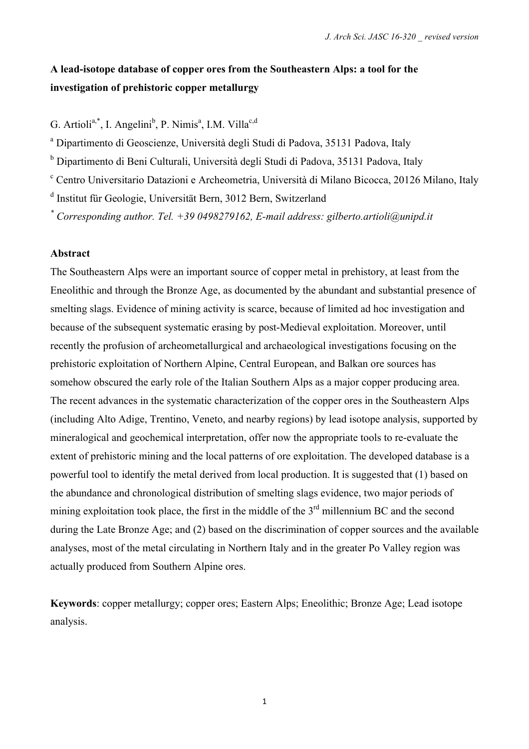# **A lead-isotope database of copper ores from the Southeastern Alps: a tool for the investigation of prehistoric copper metallurgy**

# G. Artioli<sup>a,\*</sup>, I. Angelini<sup>b</sup>, P. Nimis<sup>a</sup>, I.M. Villa<sup>c,d</sup>

<sup>a</sup> Dipartimento di Geoscienze, Università degli Studi di Padova, 35131 Padova, Italy

<sup>b</sup> Dipartimento di Beni Culturali, Università degli Studi di Padova, 35131 Padova, Italy

<sup>c</sup> Centro Universitario Datazioni e Archeometria, Università di Milano Bicocca, 20126 Milano, Italy

<sup>d</sup> Institut für Geologie, Universität Bern, 3012 Bern, Switzerland

*\* Corresponding author. Tel. +39 0498279162, E-mail address: gilberto.artioli@unipd.it*

# **Abstract**

The Southeastern Alps were an important source of copper metal in prehistory, at least from the Eneolithic and through the Bronze Age, as documented by the abundant and substantial presence of smelting slags. Evidence of mining activity is scarce, because of limited ad hoc investigation and because of the subsequent systematic erasing by post-Medieval exploitation. Moreover, until recently the profusion of archeometallurgical and archaeological investigations focusing on the prehistoric exploitation of Northern Alpine, Central European, and Balkan ore sources has somehow obscured the early role of the Italian Southern Alps as a major copper producing area. The recent advances in the systematic characterization of the copper ores in the Southeastern Alps (including Alto Adige, Trentino, Veneto, and nearby regions) by lead isotope analysis, supported by mineralogical and geochemical interpretation, offer now the appropriate tools to re-evaluate the extent of prehistoric mining and the local patterns of ore exploitation. The developed database is a powerful tool to identify the metal derived from local production. It is suggested that (1) based on the abundance and chronological distribution of smelting slags evidence, two major periods of mining exploitation took place, the first in the middle of the  $3<sup>rd</sup>$  millennium BC and the second during the Late Bronze Age; and (2) based on the discrimination of copper sources and the available analyses, most of the metal circulating in Northern Italy and in the greater Po Valley region was actually produced from Southern Alpine ores.

**Keywords**: copper metallurgy; copper ores; Eastern Alps; Eneolithic; Bronze Age; Lead isotope analysis.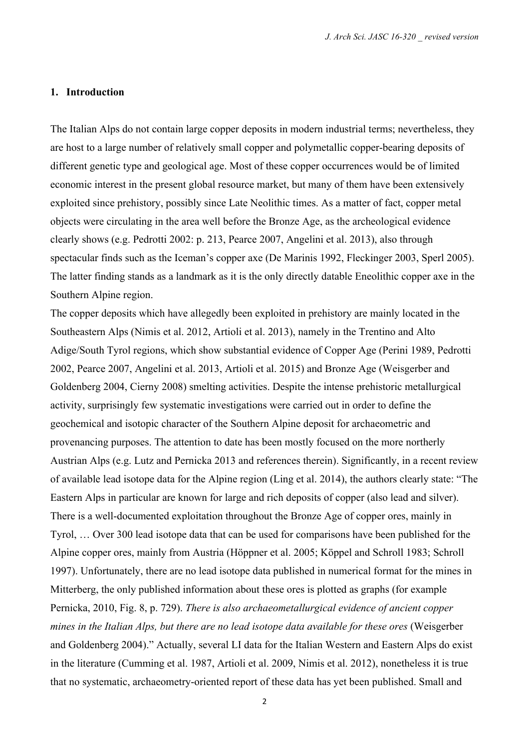### **1. Introduction**

The Italian Alps do not contain large copper deposits in modern industrial terms; nevertheless, they are host to a large number of relatively small copper and polymetallic copper-bearing deposits of different genetic type and geological age. Most of these copper occurrences would be of limited economic interest in the present global resource market, but many of them have been extensively exploited since prehistory, possibly since Late Neolithic times. As a matter of fact, copper metal objects were circulating in the area well before the Bronze Age, as the archeological evidence clearly shows (e.g. Pedrotti 2002: p. 213, Pearce 2007, Angelini et al. 2013), also through spectacular finds such as the Iceman's copper axe (De Marinis 1992, Fleckinger 2003, Sperl 2005). The latter finding stands as a landmark as it is the only directly datable Eneolithic copper axe in the Southern Alpine region.

The copper deposits which have allegedly been exploited in prehistory are mainly located in the Southeastern Alps (Nimis et al. 2012, Artioli et al. 2013), namely in the Trentino and Alto Adige/South Tyrol regions, which show substantial evidence of Copper Age (Perini 1989, Pedrotti 2002, Pearce 2007, Angelini et al. 2013, Artioli et al. 2015) and Bronze Age (Weisgerber and Goldenberg 2004, Cierny 2008) smelting activities. Despite the intense prehistoric metallurgical activity, surprisingly few systematic investigations were carried out in order to define the geochemical and isotopic character of the Southern Alpine deposit for archaeometric and provenancing purposes. The attention to date has been mostly focused on the more northerly Austrian Alps (e.g. Lutz and Pernicka 2013 and references therein). Significantly, in a recent review of available lead isotope data for the Alpine region (Ling et al. 2014), the authors clearly state: "The Eastern Alps in particular are known for large and rich deposits of copper (also lead and silver). There is a well-documented exploitation throughout the Bronze Age of copper ores, mainly in Tyrol, … Over 300 lead isotope data that can be used for comparisons have been published for the Alpine copper ores, mainly from Austria (Höppner et al. 2005; Köppel and Schroll 1983; Schroll 1997). Unfortunately, there are no lead isotope data published in numerical format for the mines in Mitterberg, the only published information about these ores is plotted as graphs (for example Pernicka, 2010, Fig. 8, p. 729). *There is also archaeometallurgical evidence of ancient copper mines in the Italian Alps, but there are no lead isotope data available for these ores* (Weisgerber and Goldenberg 2004)." Actually, several LI data for the Italian Western and Eastern Alps do exist in the literature (Cumming et al. 1987, Artioli et al. 2009, Nimis et al. 2012), nonetheless it is true that no systematic, archaeometry-oriented report of these data has yet been published. Small and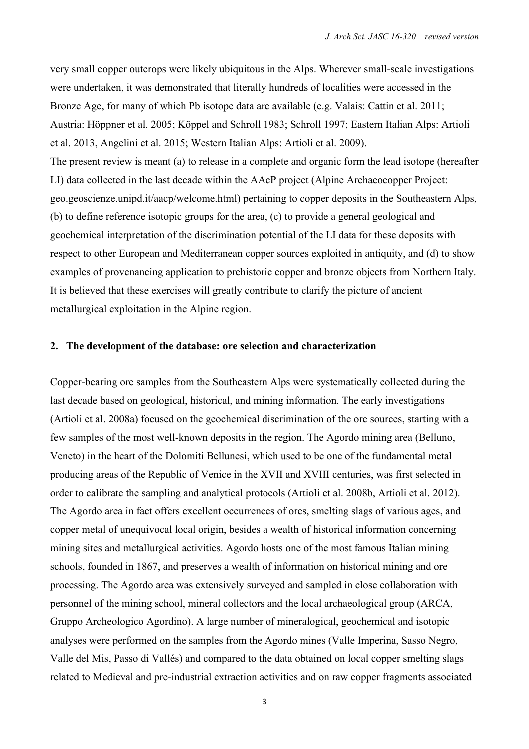very small copper outcrops were likely ubiquitous in the Alps. Wherever small-scale investigations were undertaken, it was demonstrated that literally hundreds of localities were accessed in the Bronze Age, for many of which Pb isotope data are available (e.g. Valais: Cattin et al. 2011; Austria: Höppner et al. 2005; Köppel and Schroll 1983; Schroll 1997; Eastern Italian Alps: Artioli et al. 2013, Angelini et al. 2015; Western Italian Alps: Artioli et al. 2009). The present review is meant (a) to release in a complete and organic form the lead isotope (hereafter LI) data collected in the last decade within the AAcP project (Alpine Archaeocopper Project: geo.geoscienze.unipd.it/aacp/welcome.html) pertaining to copper deposits in the Southeastern Alps, (b) to define reference isotopic groups for the area, (c) to provide a general geological and geochemical interpretation of the discrimination potential of the LI data for these deposits with respect to other European and Mediterranean copper sources exploited in antiquity, and (d) to show examples of provenancing application to prehistoric copper and bronze objects from Northern Italy. It is believed that these exercises will greatly contribute to clarify the picture of ancient metallurgical exploitation in the Alpine region.

# **2. The development of the database: ore selection and characterization**

Copper-bearing ore samples from the Southeastern Alps were systematically collected during the last decade based on geological, historical, and mining information. The early investigations (Artioli et al. 2008a) focused on the geochemical discrimination of the ore sources, starting with a few samples of the most well-known deposits in the region. The Agordo mining area (Belluno, Veneto) in the heart of the Dolomiti Bellunesi, which used to be one of the fundamental metal producing areas of the Republic of Venice in the XVII and XVIII centuries, was first selected in order to calibrate the sampling and analytical protocols (Artioli et al. 2008b, Artioli et al. 2012). The Agordo area in fact offers excellent occurrences of ores, smelting slags of various ages, and copper metal of unequivocal local origin, besides a wealth of historical information concerning mining sites and metallurgical activities. Agordo hosts one of the most famous Italian mining schools, founded in 1867, and preserves a wealth of information on historical mining and ore processing. The Agordo area was extensively surveyed and sampled in close collaboration with personnel of the mining school, mineral collectors and the local archaeological group (ARCA, Gruppo Archeologico Agordino). A large number of mineralogical, geochemical and isotopic analyses were performed on the samples from the Agordo mines (Valle Imperina, Sasso Negro, Valle del Mis, Passo di Vallés) and compared to the data obtained on local copper smelting slags related to Medieval and pre-industrial extraction activities and on raw copper fragments associated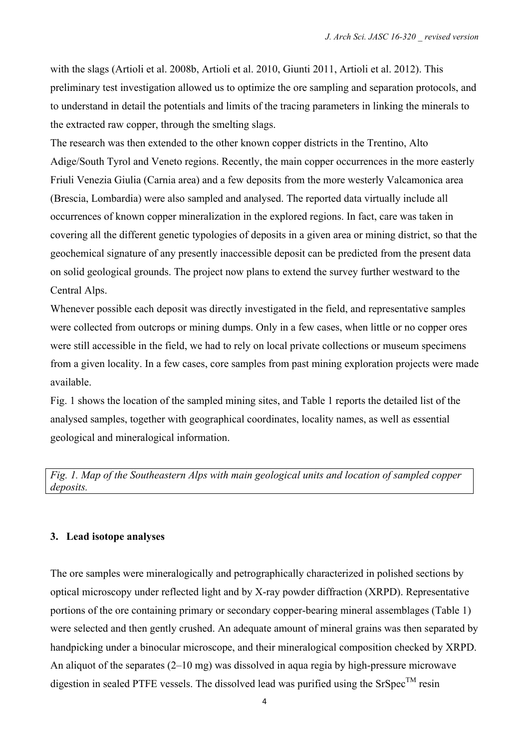with the slags (Artioli et al. 2008b, Artioli et al. 2010, Giunti 2011, Artioli et al. 2012). This preliminary test investigation allowed us to optimize the ore sampling and separation protocols, and to understand in detail the potentials and limits of the tracing parameters in linking the minerals to the extracted raw copper, through the smelting slags.

The research was then extended to the other known copper districts in the Trentino, Alto Adige/South Tyrol and Veneto regions. Recently, the main copper occurrences in the more easterly Friuli Venezia Giulia (Carnia area) and a few deposits from the more westerly Valcamonica area (Brescia, Lombardia) were also sampled and analysed. The reported data virtually include all occurrences of known copper mineralization in the explored regions. In fact, care was taken in covering all the different genetic typologies of deposits in a given area or mining district, so that the geochemical signature of any presently inaccessible deposit can be predicted from the present data on solid geological grounds. The project now plans to extend the survey further westward to the Central Alps.

Whenever possible each deposit was directly investigated in the field, and representative samples were collected from outcrops or mining dumps. Only in a few cases, when little or no copper ores were still accessible in the field, we had to rely on local private collections or museum specimens from a given locality. In a few cases, core samples from past mining exploration projects were made available.

Fig. 1 shows the location of the sampled mining sites, and Table 1 reports the detailed list of the analysed samples, together with geographical coordinates, locality names, as well as essential geological and mineralogical information.

*Fig. 1. Map of the Southeastern Alps with main geological units and location of sampled copper deposits.* 

## **3. Lead isotope analyses**

The ore samples were mineralogically and petrographically characterized in polished sections by optical microscopy under reflected light and by X-ray powder diffraction (XRPD). Representative portions of the ore containing primary or secondary copper-bearing mineral assemblages (Table 1) were selected and then gently crushed. An adequate amount of mineral grains was then separated by handpicking under a binocular microscope, and their mineralogical composition checked by XRPD. An aliquot of the separates (2–10 mg) was dissolved in aqua regia by high-pressure microwave digestion in sealed PTFE vessels. The dissolved lead was purified using the  $SrSpec^{TM}$  resin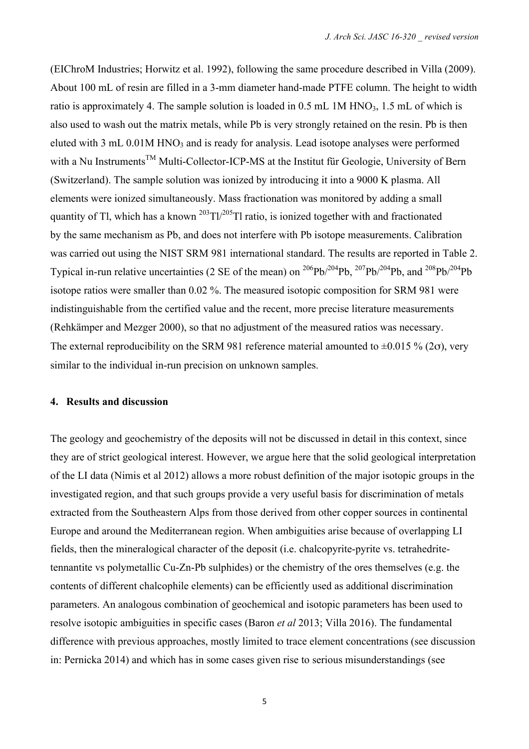(EIChroM Industries; Horwitz et al. 1992), following the same procedure described in Villa (2009). About 100 mL of resin are filled in a 3-mm diameter hand-made PTFE column. The height to width ratio is approximately 4. The sample solution is loaded in  $0.5$  mL 1M HNO<sub>3</sub>, 1.5 mL of which is also used to wash out the matrix metals, while Pb is very strongly retained on the resin. Pb is then eluted with 3 mL 0.01M HNO<sub>3</sub> and is ready for analysis. Lead isotope analyses were performed with a Nu Instruments<sup>TM</sup> Multi-Collector-ICP-MS at the Institut für Geologie, University of Bern (Switzerland). The sample solution was ionized by introducing it into a 9000 K plasma. All elements were ionized simultaneously. Mass fractionation was monitored by adding a small quantity of Tl, which has a known  $^{203}Tl/^{205}Tl$  ratio, is ionized together with and fractionated by the same mechanism as Pb, and does not interfere with Pb isotope measurements. Calibration was carried out using the NIST SRM 981 international standard. The results are reported in Table 2. Typical in-run relative uncertainties (2 SE of the mean) on <sup>206</sup>Pb/<sup>204</sup>Pb, <sup>207</sup>Pb/<sup>204</sup>Pb, and <sup>208</sup>Pb/<sup>204</sup>Pb isotope ratios were smaller than 0.02 %. The measured isotopic composition for SRM 981 were indistinguishable from the certified value and the recent, more precise literature measurements (Rehkämper and Mezger 2000), so that no adjustment of the measured ratios was necessary. The external reproducibility on the SRM 981 reference material amounted to  $\pm 0.015$  % (2 $\sigma$ ), very similar to the individual in-run precision on unknown samples.

#### **4. Results and discussion**

The geology and geochemistry of the deposits will not be discussed in detail in this context, since they are of strict geological interest. However, we argue here that the solid geological interpretation of the LI data (Nimis et al 2012) allows a more robust definition of the major isotopic groups in the investigated region, and that such groups provide a very useful basis for discrimination of metals extracted from the Southeastern Alps from those derived from other copper sources in continental Europe and around the Mediterranean region. When ambiguities arise because of overlapping LI fields, then the mineralogical character of the deposit (i.e. chalcopyrite-pyrite vs. tetrahedritetennantite vs polymetallic Cu-Zn-Pb sulphides) or the chemistry of the ores themselves (e.g. the contents of different chalcophile elements) can be efficiently used as additional discrimination parameters. An analogous combination of geochemical and isotopic parameters has been used to resolve isotopic ambiguities in specific cases (Baron *et al* 2013; Villa 2016). The fundamental difference with previous approaches, mostly limited to trace element concentrations (see discussion in: Pernicka 2014) and which has in some cases given rise to serious misunderstandings (see

5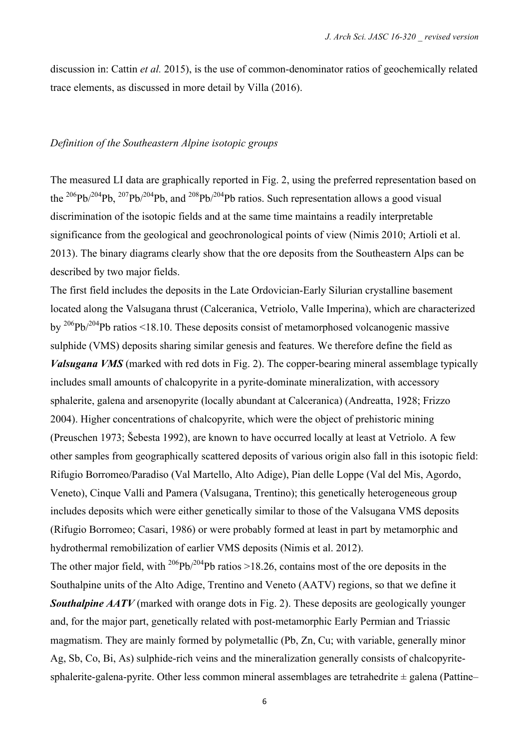discussion in: Cattin *et al.* 2015), is the use of common-denominator ratios of geochemically related trace elements, as discussed in more detail by Villa (2016).

## *Definition of the Southeastern Alpine isotopic groups*

The measured LI data are graphically reported in Fig. 2, using the preferred representation based on the <sup>206</sup>Pb/<sup>204</sup>Pb, <sup>207</sup>Pb/<sup>204</sup>Pb, and <sup>208</sup>Pb/<sup>204</sup>Pb ratios. Such representation allows a good visual discrimination of the isotopic fields and at the same time maintains a readily interpretable significance from the geological and geochronological points of view (Nimis 2010; Artioli et al. 2013). The binary diagrams clearly show that the ore deposits from the Southeastern Alps can be described by two major fields.

The first field includes the deposits in the Late Ordovician-Early Silurian crystalline basement located along the Valsugana thrust (Calceranica, Vetriolo, Valle Imperina), which are characterized by  $206Pb^{204}Pb$  ratios <18.10. These deposits consist of metamorphosed volcanogenic massive sulphide (VMS) deposits sharing similar genesis and features. We therefore define the field as *Valsugana VMS* (marked with red dots in Fig. 2). The copper-bearing mineral assemblage typically includes small amounts of chalcopyrite in a pyrite-dominate mineralization, with accessory sphalerite, galena and arsenopyrite (locally abundant at Calceranica) (Andreatta, 1928; Frizzo 2004). Higher concentrations of chalcopyrite, which were the object of prehistoric mining (Preuschen 1973; Šebesta 1992), are known to have occurred locally at least at Vetriolo. A few other samples from geographically scattered deposits of various origin also fall in this isotopic field: Rifugio Borromeo/Paradiso (Val Martello, Alto Adige), Pian delle Loppe (Val del Mis, Agordo, Veneto), Cinque Valli and Pamera (Valsugana, Trentino); this genetically heterogeneous group includes deposits which were either genetically similar to those of the Valsugana VMS deposits (Rifugio Borromeo; Casari, 1986) or were probably formed at least in part by metamorphic and hydrothermal remobilization of earlier VMS deposits (Nimis et al. 2012).

The other major field, with  $^{206}Pb^{204}Pb$  ratios >18.26, contains most of the ore deposits in the Southalpine units of the Alto Adige, Trentino and Veneto (AATV) regions, so that we define it **Southalpine AATV** (marked with orange dots in Fig. 2). These deposits are geologically younger and, for the major part, genetically related with post-metamorphic Early Permian and Triassic magmatism. They are mainly formed by polymetallic (Pb, Zn, Cu; with variable, generally minor Ag, Sb, Co, Bi, As) sulphide-rich veins and the mineralization generally consists of chalcopyritesphalerite-galena-pyrite. Other less common mineral assemblages are tetrahedrite  $\pm$  galena (Pattine–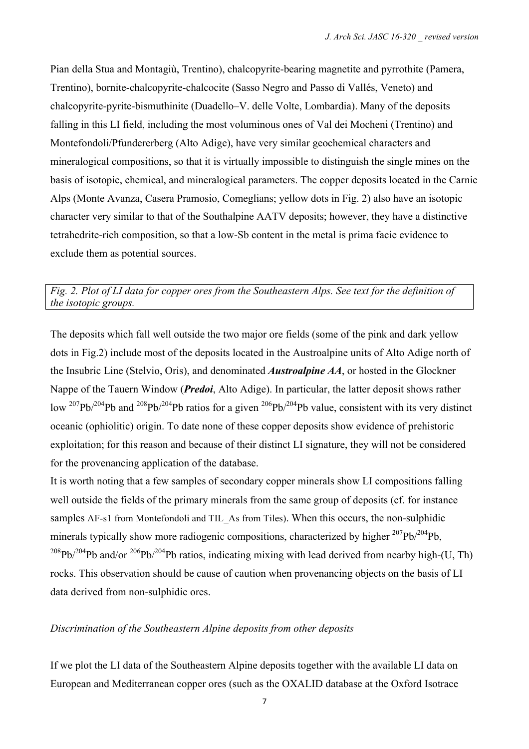Pian della Stua and Montagiù, Trentino), chalcopyrite-bearing magnetite and pyrrothite (Pamera, Trentino), bornite-chalcopyrite-chalcocite (Sasso Negro and Passo di Vallés, Veneto) and chalcopyrite-pyrite-bismuthinite (Duadello–V. delle Volte, Lombardia). Many of the deposits falling in this LI field, including the most voluminous ones of Val dei Mocheni (Trentino) and Montefondoli/Pfundererberg (Alto Adige), have very similar geochemical characters and mineralogical compositions, so that it is virtually impossible to distinguish the single mines on the basis of isotopic, chemical, and mineralogical parameters. The copper deposits located in the Carnic Alps (Monte Avanza, Casera Pramosio, Comeglians; yellow dots in Fig. 2) also have an isotopic character very similar to that of the Southalpine AATV deposits; however, they have a distinctive tetrahedrite-rich composition, so that a low-Sb content in the metal is prima facie evidence to exclude them as potential sources.

# *Fig. 2. Plot of LI data for copper ores from the Southeastern Alps. See text for the definition of the isotopic groups.*

The deposits which fall well outside the two major ore fields (some of the pink and dark yellow dots in Fig.2) include most of the deposits located in the Austroalpine units of Alto Adige north of the Insubric Line (Stelvio, Oris), and denominated *Austroalpine AA*, or hosted in the Glockner Nappe of the Tauern Window (*Predoi*, Alto Adige). In particular, the latter deposit shows rather low <sup>207</sup>Pb/<sup>204</sup>Pb and <sup>208</sup>Pb/<sup>204</sup>Pb ratios for a given <sup>206</sup>Pb/<sup>204</sup>Pb value, consistent with its very distinct oceanic (ophiolitic) origin. To date none of these copper deposits show evidence of prehistoric exploitation; for this reason and because of their distinct LI signature, they will not be considered for the provenancing application of the database.

It is worth noting that a few samples of secondary copper minerals show LI compositions falling well outside the fields of the primary minerals from the same group of deposits (cf. for instance samples AF-s1 from Montefondoli and TIL As from Tiles). When this occurs, the non-sulphidic minerals typically show more radiogenic compositions, characterized by higher  $^{207}Pb/^{204}Pb$ , <sup>208</sup>Pb/<sup>204</sup>Pb and/or <sup>206</sup>Pb/<sup>204</sup>Pb ratios, indicating mixing with lead derived from nearby high-(U, Th) rocks. This observation should be cause of caution when provenancing objects on the basis of LI data derived from non-sulphidic ores.

# *Discrimination of the Southeastern Alpine deposits from other deposits*

If we plot the LI data of the Southeastern Alpine deposits together with the available LI data on European and Mediterranean copper ores (such as the OXALID database at the Oxford Isotrace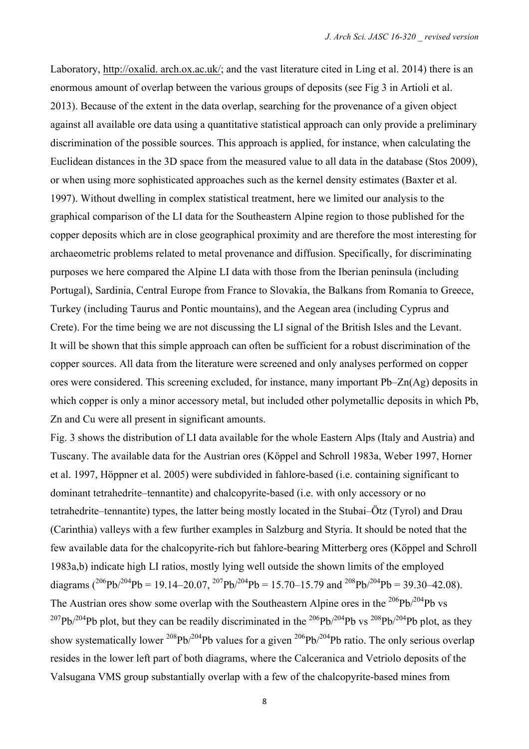Laboratory, http://oxalid. arch.ox.ac.uk/; and the vast literature cited in Ling et al. 2014) there is an enormous amount of overlap between the various groups of deposits (see Fig 3 in Artioli et al. 2013). Because of the extent in the data overlap, searching for the provenance of a given object against all available ore data using a quantitative statistical approach can only provide a preliminary discrimination of the possible sources. This approach is applied, for instance, when calculating the Euclidean distances in the 3D space from the measured value to all data in the database (Stos 2009), or when using more sophisticated approaches such as the kernel density estimates (Baxter et al. 1997). Without dwelling in complex statistical treatment, here we limited our analysis to the graphical comparison of the LI data for the Southeastern Alpine region to those published for the copper deposits which are in close geographical proximity and are therefore the most interesting for archaeometric problems related to metal provenance and diffusion. Specifically, for discriminating purposes we here compared the Alpine LI data with those from the Iberian peninsula (including Portugal), Sardinia, Central Europe from France to Slovakia, the Balkans from Romania to Greece, Turkey (including Taurus and Pontic mountains), and the Aegean area (including Cyprus and Crete). For the time being we are not discussing the LI signal of the British Isles and the Levant. It will be shown that this simple approach can often be sufficient for a robust discrimination of the copper sources. All data from the literature were screened and only analyses performed on copper ores were considered. This screening excluded, for instance, many important Pb–Zn(Ag) deposits in which copper is only a minor accessory metal, but included other polymetallic deposits in which Pb, Zn and Cu were all present in significant amounts.

Fig. 3 shows the distribution of LI data available for the whole Eastern Alps (Italy and Austria) and Tuscany. The available data for the Austrian ores (Köppel and Schroll 1983a, Weber 1997, Horner et al. 1997, Höppner et al. 2005) were subdivided in fahlore-based (i.e. containing significant to dominant tetrahedrite–tennantite) and chalcopyrite-based (i.e. with only accessory or no tetrahedrite–tennantite) types, the latter being mostly located in the Stubai–Ötz (Tyrol) and Drau (Carinthia) valleys with a few further examples in Salzburg and Styria. It should be noted that the few available data for the chalcopyrite-rich but fahlore-bearing Mitterberg ores (Köppel and Schroll 1983a,b) indicate high LI ratios, mostly lying well outside the shown limits of the employed diagrams  $(^{206}Pb/^{204}Pb = 19.14-20.07$ ,  $^{207}Pb/^{204}Pb = 15.70-15.79$  and  $^{208}Pb/^{204}Pb = 39.30-42.08$ ). The Austrian ores show some overlap with the Southeastern Alpine ores in the  $^{206}Pb^{204}Pb$  vs <sup>207</sup>Pb/<sup>204</sup>Pb plot, but they can be readily discriminated in the <sup>206</sup>Pb/<sup>204</sup>Pb vs <sup>208</sup>Pb/<sup>204</sup>Pb plot, as they show systematically lower <sup>208</sup>Pb/<sup>204</sup>Pb values for a given <sup>206</sup>Pb/<sup>204</sup>Pb ratio. The only serious overlap resides in the lower left part of both diagrams, where the Calceranica and Vetriolo deposits of the Valsugana VMS group substantially overlap with a few of the chalcopyrite-based mines from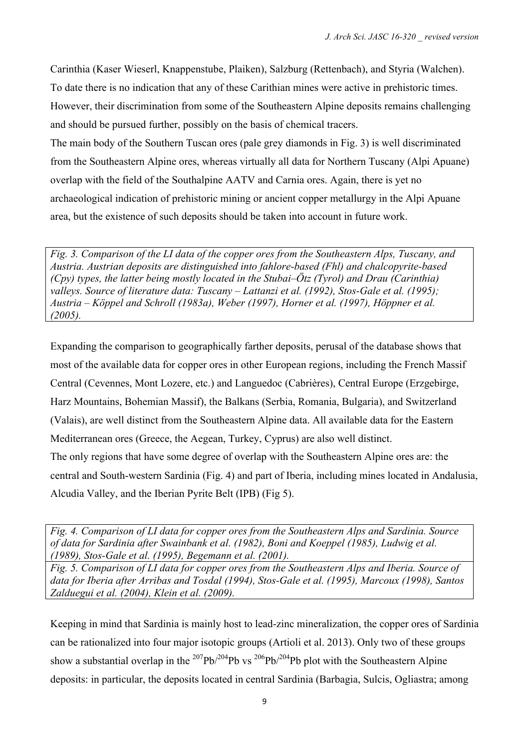Carinthia (Kaser Wieserl, Knappenstube, Plaiken), Salzburg (Rettenbach), and Styria (Walchen). To date there is no indication that any of these Carithian mines were active in prehistoric times. However, their discrimination from some of the Southeastern Alpine deposits remains challenging and should be pursued further, possibly on the basis of chemical tracers.

The main body of the Southern Tuscan ores (pale grey diamonds in Fig. 3) is well discriminated from the Southeastern Alpine ores, whereas virtually all data for Northern Tuscany (Alpi Apuane) overlap with the field of the Southalpine AATV and Carnia ores. Again, there is yet no archaeological indication of prehistoric mining or ancient copper metallurgy in the Alpi Apuane area, but the existence of such deposits should be taken into account in future work.

*Fig. 3. Comparison of the LI data of the copper ores from the Southeastern Alps, Tuscany, and Austria. Austrian deposits are distinguished into fahlore-based (Fhl) and chalcopyrite-based (Cpy) types, the latter being mostly located in the Stubai–Ötz (Tyrol) and Drau (Carinthia) valleys. Source of literature data: Tuscany – Lattanzi et al. (1992), Stos-Gale et al. (1995); Austria – Köppel and Schroll (1983a), Weber (1997), Horner et al. (1997), Höppner et al. (2005).* 

Expanding the comparison to geographically farther deposits, perusal of the database shows that most of the available data for copper ores in other European regions, including the French Massif Central (Cevennes, Mont Lozere, etc.) and Languedoc (Cabrières), Central Europe (Erzgebirge, Harz Mountains, Bohemian Massif), the Balkans (Serbia, Romania, Bulgaria), and Switzerland (Valais), are well distinct from the Southeastern Alpine data. All available data for the Eastern Mediterranean ores (Greece, the Aegean, Turkey, Cyprus) are also well distinct. The only regions that have some degree of overlap with the Southeastern Alpine ores are: the central and South-western Sardinia (Fig. 4) and part of Iberia, including mines located in Andalusia, Alcudia Valley, and the Iberian Pyrite Belt (IPB) (Fig 5).

*Fig. 4. Comparison of LI data for copper ores from the Southeastern Alps and Sardinia. Source of data for Sardinia after Swainbank et al. (1982), Boni and Koeppel (1985), Ludwig et al. (1989), Stos-Gale et al. (1995), Begemann et al. (2001).*

*Fig. 5. Comparison of LI data for copper ores from the Southeastern Alps and Iberia. Source of data for Iberia after Arribas and Tosdal (1994), Stos-Gale et al. (1995), Marcoux (1998), Santos Zalduegui et al. (2004), Klein et al. (2009).*

Keeping in mind that Sardinia is mainly host to lead-zinc mineralization, the copper ores of Sardinia can be rationalized into four major isotopic groups (Artioli et al. 2013). Only two of these groups show a substantial overlap in the  $^{207}Pb/^{204}Pb$  vs  $^{206}Pb/^{204}Pb$  plot with the Southeastern Alpine deposits: in particular, the deposits located in central Sardinia (Barbagia, Sulcis, Ogliastra; among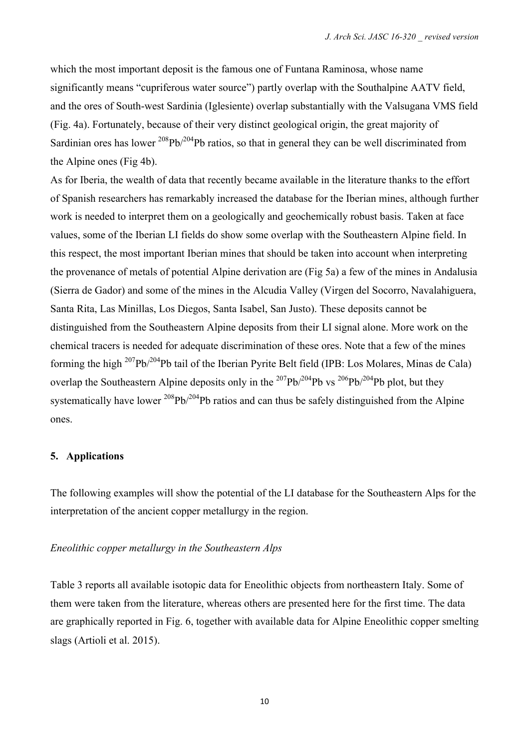which the most important deposit is the famous one of Funtana Raminosa, whose name significantly means "cupriferous water source") partly overlap with the Southalpine AATV field, and the ores of South-west Sardinia (Iglesiente) overlap substantially with the Valsugana VMS field (Fig. 4a). Fortunately, because of their very distinct geological origin, the great majority of Sardinian ores has lower  $^{208}Pb^{204}Pb$  ratios, so that in general they can be well discriminated from the Alpine ones (Fig 4b).

As for Iberia, the wealth of data that recently became available in the literature thanks to the effort of Spanish researchers has remarkably increased the database for the Iberian mines, although further work is needed to interpret them on a geologically and geochemically robust basis. Taken at face values, some of the Iberian LI fields do show some overlap with the Southeastern Alpine field. In this respect, the most important Iberian mines that should be taken into account when interpreting the provenance of metals of potential Alpine derivation are (Fig 5a) a few of the mines in Andalusia (Sierra de Gador) and some of the mines in the Alcudia Valley (Virgen del Socorro, Navalahiguera, Santa Rita, Las Minillas, Los Diegos, Santa Isabel, San Justo). These deposits cannot be distinguished from the Southeastern Alpine deposits from their LI signal alone. More work on the chemical tracers is needed for adequate discrimination of these ores. Note that a few of the mines forming the high  $^{207}Pb^{204}Pb$  tail of the Iberian Pyrite Belt field (IPB: Los Molares, Minas de Cala) overlap the Southeastern Alpine deposits only in the  $^{207}Pb/^{204}Pb$  vs  $^{206}Pb/^{204}Pb$  plot, but they systematically have lower  $^{208}Pb^{204}Pb$  ratios and can thus be safely distinguished from the Alpine ones.

### **5. Applications**

The following examples will show the potential of the LI database for the Southeastern Alps for the interpretation of the ancient copper metallurgy in the region.

### *Eneolithic copper metallurgy in the Southeastern Alps*

Table 3 reports all available isotopic data for Eneolithic objects from northeastern Italy. Some of them were taken from the literature, whereas others are presented here for the first time. The data are graphically reported in Fig. 6, together with available data for Alpine Eneolithic copper smelting slags (Artioli et al. 2015).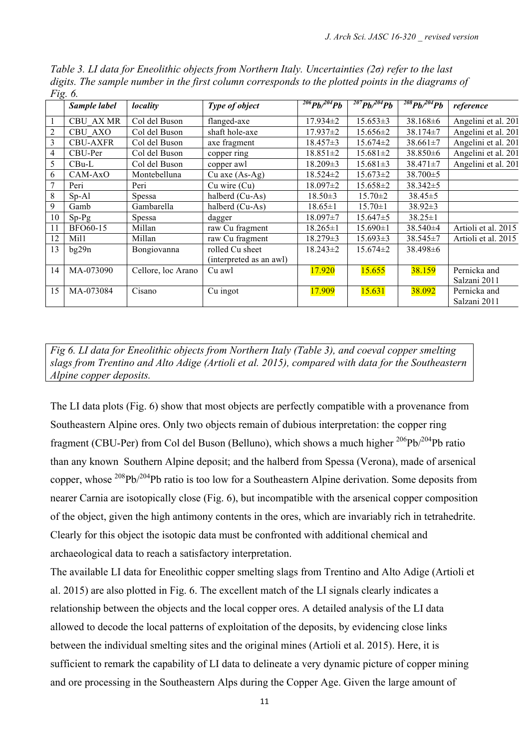|    | 17g. v.          |                    |                         |                     |                     |                     |                     |  |  |  |  |
|----|------------------|--------------------|-------------------------|---------------------|---------------------|---------------------|---------------------|--|--|--|--|
|    | Sample label     | locality           | Type of object          | $^{206}Pb/^{204}Pb$ | $^{207}Pb/^{204}Pb$ | $^{208}Pb/^{204}Pb$ | reference           |  |  |  |  |
|    | <b>CBU AX MR</b> | Col del Buson      | flanged-axe             | $17.934 \pm 2$      | $15.653\pm3$        | 38.168±6            | Angelini et al. 201 |  |  |  |  |
| 2  | CBU AXO          | Col del Buson      | shaft hole-axe          | $17.937 \pm 2$      | $15.656 \pm 2$      | 38.174±7            | Angelini et al. 201 |  |  |  |  |
| 3  | <b>CBU-AXFR</b>  | Col del Buson      | axe fragment            | 18.457±3            | $15.674 \pm 2$      | $38.661 \pm 7$      | Angelini et al. 201 |  |  |  |  |
| 4  | CBU-Per          | Col del Buson      | copper ring             | $18.851 \pm 2$      | $15.681 \pm 2$      | 38.850±6            | Angelini et al. 201 |  |  |  |  |
| 5  | $CBu-L$          | Col del Buson      | copper awl              | 18.209±3            | $15.681\pm3$        | 38.471±7            | Angelini et al. 201 |  |  |  |  |
| 6  | CAM-AxO          | Montebelluna       | Cu axe $(As-Ag)$        | 18.524±2            | $15.673 \pm 2$      | $38.700 \pm 5$      |                     |  |  |  |  |
|    | Peri             | Peri               | Cu wire (Cu)            | 18.097±2            | $15.658 \pm 2$      | 38.342±5            |                     |  |  |  |  |
| 8  | $Sp-Al$          | Spessa             | halberd (Cu-As)         | $18.50 \pm 3$       | $15.70 \pm 2$       | $38.45 \pm 5$       |                     |  |  |  |  |
| 9  | Gamb             | Gambarella         | halberd (Cu-As)         | $18.65 \pm 1$       | $15.70 \pm 1$       | $38.92 \pm 3$       |                     |  |  |  |  |
| 10 | $Sp-Pg$          | Spessa             | dagger                  | $18.097 \pm 7$      | $15.647\pm 5$       | $38.25 \pm 1$       |                     |  |  |  |  |
| 11 | <b>BFO60-15</b>  | Millan             | raw Cu fragment         | $18.265 \pm 1$      | $15.690 \pm 1$      | 38.540±4            | Artioli et al. 2015 |  |  |  |  |
| 12 | Mil1             | Millan             | raw Cu fragment         | 18.279±3            | $15.693\pm3$        | 38.545±7            | Artioli et al. 2015 |  |  |  |  |
| 13 | bg29n            | Bongiovanna        | rolled Cu sheet         | $18.243 \pm 2$      | $15.674 \pm 2$      | 38.498±6            |                     |  |  |  |  |
|    |                  |                    | (interpreted as an awl) |                     |                     |                     |                     |  |  |  |  |
| 14 | MA-073090        | Cellore, loc Arano | Cu awl                  | 17.920              | 15.655              | 38.159              | Pernicka and        |  |  |  |  |
|    |                  |                    |                         |                     |                     |                     | Salzani 2011        |  |  |  |  |
| 15 | MA-073084        | Cisano             | Cu ingot                | 17.909              | 15.631              | 38.092              | Pernicka and        |  |  |  |  |
|    |                  |                    |                         |                     |                     |                     | Salzani 2011        |  |  |  |  |

*Table 3. LI data for Eneolithic objects from Northern Italy. Uncertainties (2σ) refer to the last digits. The sample number in the first column corresponds to the plotted points in the diagrams of*   $Fig. 6$ 

*Fig 6. LI data for Eneolithic objects from Northern Italy (Table 3), and coeval copper smelting slags from Trentino and Alto Adige (Artioli et al. 2015), compared with data for the Southeastern Alpine copper deposits.*

The LI data plots (Fig. 6) show that most objects are perfectly compatible with a provenance from Southeastern Alpine ores. Only two objects remain of dubious interpretation: the copper ring fragment (CBU-Per) from Col del Buson (Belluno), which shows a much higher <sup>206</sup>Pb/<sup>204</sup>Pb ratio than any known Southern Alpine deposit; and the halberd from Spessa (Verona), made of arsenical copper, whose 208Pb/204Pb ratio is too low for a Southeastern Alpine derivation. Some deposits from nearer Carnia are isotopically close (Fig. 6), but incompatible with the arsenical copper composition of the object, given the high antimony contents in the ores, which are invariably rich in tetrahedrite. Clearly for this object the isotopic data must be confronted with additional chemical and archaeological data to reach a satisfactory interpretation.

The available LI data for Eneolithic copper smelting slags from Trentino and Alto Adige (Artioli et al. 2015) are also plotted in Fig. 6. The excellent match of the LI signals clearly indicates a relationship between the objects and the local copper ores. A detailed analysis of the LI data allowed to decode the local patterns of exploitation of the deposits, by evidencing close links between the individual smelting sites and the original mines (Artioli et al. 2015). Here, it is sufficient to remark the capability of LI data to delineate a very dynamic picture of copper mining and ore processing in the Southeastern Alps during the Copper Age. Given the large amount of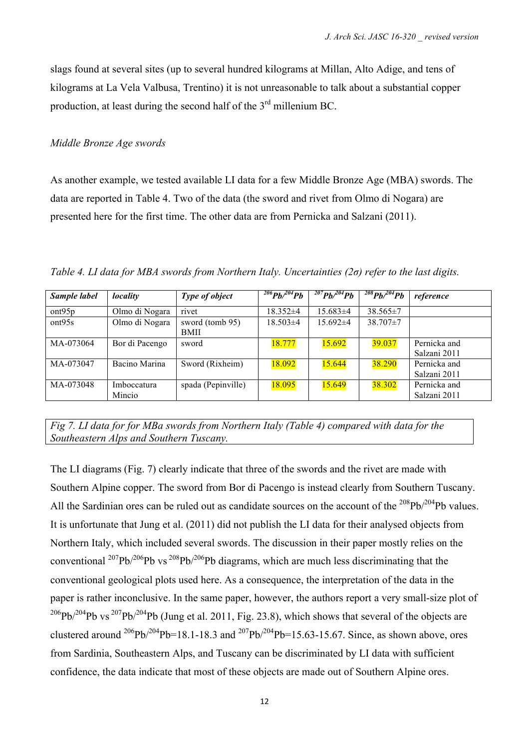slags found at several sites (up to several hundred kilograms at Millan, Alto Adige, and tens of kilograms at La Vela Valbusa, Trentino) it is not unreasonable to talk about a substantial copper production, at least during the second half of the  $3<sup>rd</sup>$  millenium BC.

### *Middle Bronze Age swords*

As another example, we tested available LI data for a few Middle Bronze Age (MBA) swords. The data are reported in Table 4. Two of the data (the sword and rivet from Olmo di Nogara) are presented here for the first time. The other data are from Pernicka and Salzani (2011).

*Table 4. LI data for MBA swords from Northern Italy. Uncertainties (2σ) refer to the last digits.*

| Sample label | <i>locality</i>       | Type of object          | $^{206}Pb/^{204}Pb$ | $^{207}Pb^{204}Pb$ | $^{208}Pb/^{204}Pb$ | reference                    |
|--------------|-----------------------|-------------------------|---------------------|--------------------|---------------------|------------------------------|
| ont95p       | Olmo di Nogara        | rivet                   | $18.352 \pm 4$      | $15.683\pm4$       | $38.565 \pm 7$      |                              |
| ont95s       | Olmo di Nogara        | sword (tomb 95)<br>BMII | $18.503 \pm 4$      | $15.692 \pm 4$     | $38.707 \pm 7$      |                              |
| MA-073064    | Bor di Pacengo        | sword                   | 18.777              | 15.692             | 39.037              | Pernicka and<br>Salzani 2011 |
| MA-073047    | Bacino Marina         | Sword (Rixheim)         | 18.092              | 15.644             | 38.290              | Pernicka and<br>Salzani 2011 |
| MA-073048    | Imboccatura<br>Mincio | spada (Pepinville)      | 18.095              | 15.649             | 38.302              | Pernicka and<br>Salzani 2011 |

*Fig 7. LI data for for MBa swords from Northern Italy (Table 4) compared with data for the Southeastern Alps and Southern Tuscany.*

The LI diagrams (Fig. 7) clearly indicate that three of the swords and the rivet are made with Southern Alpine copper. The sword from Bor di Pacengo is instead clearly from Southern Tuscany. All the Sardinian ores can be ruled out as candidate sources on the account of the  $^{208}Pb/^{204}Pb$  values. It is unfortunate that Jung et al. (2011) did not publish the LI data for their analysed objects from Northern Italy, which included several swords. The discussion in their paper mostly relies on the conventional <sup>207</sup>Pb/<sup>206</sup>Pb vs <sup>208</sup>Pb/<sup>206</sup>Pb diagrams, which are much less discriminating that the conventional geological plots used here. As a consequence, the interpretation of the data in the paper is rather inconclusive. In the same paper, however, the authors report a very small-size plot of  $^{206}Pb/^{204}Pb$  vs  $^{207}Pb/^{204}Pb$  (Jung et al. 2011, Fig. 23.8), which shows that several of the objects are clustered around <sup>206</sup>Pb/<sup>204</sup>Pb=18.1-18.3 and <sup>207</sup>Pb/<sup>204</sup>Pb=15.63-15.67. Since, as shown above, ores from Sardinia, Southeastern Alps, and Tuscany can be discriminated by LI data with sufficient confidence, the data indicate that most of these objects are made out of Southern Alpine ores.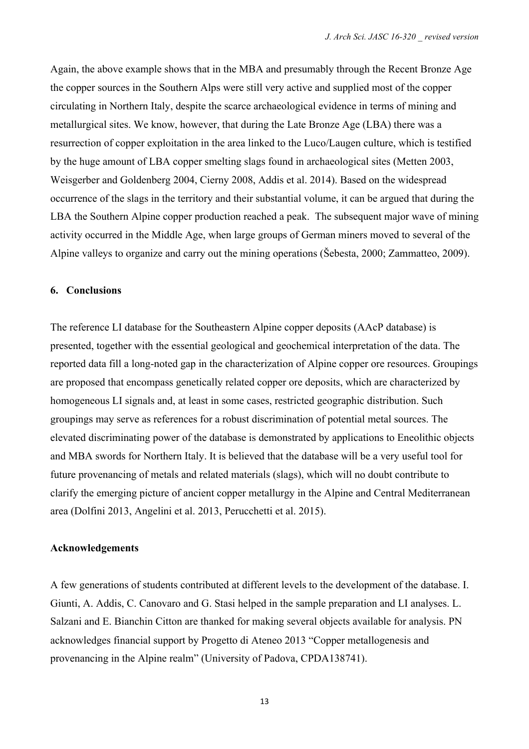Again, the above example shows that in the MBA and presumably through the Recent Bronze Age the copper sources in the Southern Alps were still very active and supplied most of the copper circulating in Northern Italy, despite the scarce archaeological evidence in terms of mining and metallurgical sites. We know, however, that during the Late Bronze Age (LBA) there was a resurrection of copper exploitation in the area linked to the Luco/Laugen culture, which is testified by the huge amount of LBA copper smelting slags found in archaeological sites (Metten 2003, Weisgerber and Goldenberg 2004, Cierny 2008, Addis et al. 2014). Based on the widespread occurrence of the slags in the territory and their substantial volume, it can be argued that during the LBA the Southern Alpine copper production reached a peak. The subsequent major wave of mining activity occurred in the Middle Age, when large groups of German miners moved to several of the Alpine valleys to organize and carry out the mining operations (Šebesta, 2000; Zammatteo, 2009).

#### **6. Conclusions**

The reference LI database for the Southeastern Alpine copper deposits (AAcP database) is presented, together with the essential geological and geochemical interpretation of the data. The reported data fill a long-noted gap in the characterization of Alpine copper ore resources. Groupings are proposed that encompass genetically related copper ore deposits, which are characterized by homogeneous LI signals and, at least in some cases, restricted geographic distribution. Such groupings may serve as references for a robust discrimination of potential metal sources. The elevated discriminating power of the database is demonstrated by applications to Eneolithic objects and MBA swords for Northern Italy. It is believed that the database will be a very useful tool for future provenancing of metals and related materials (slags), which will no doubt contribute to clarify the emerging picture of ancient copper metallurgy in the Alpine and Central Mediterranean area (Dolfini 2013, Angelini et al. 2013, Perucchetti et al. 2015).

### **Acknowledgements**

A few generations of students contributed at different levels to the development of the database. I. Giunti, A. Addis, C. Canovaro and G. Stasi helped in the sample preparation and LI analyses. L. Salzani and E. Bianchin Citton are thanked for making several objects available for analysis. PN acknowledges financial support by Progetto di Ateneo 2013 "Copper metallogenesis and provenancing in the Alpine realm" (University of Padova, CPDA138741).

13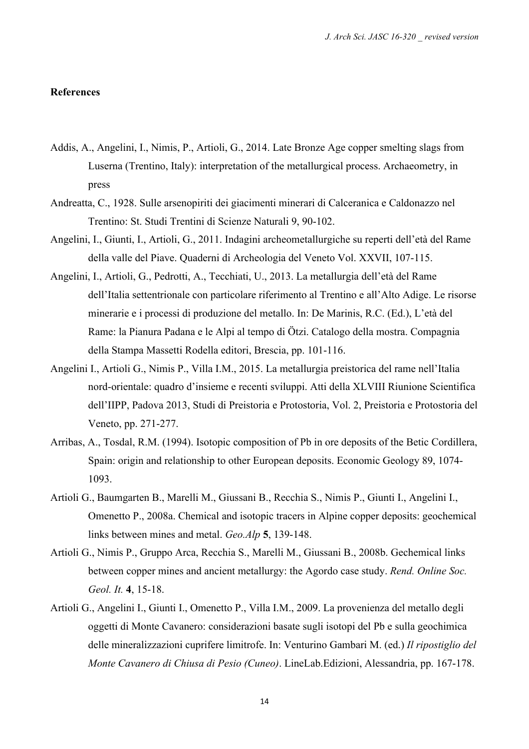### **References**

- Addis, A., Angelini, I., Nimis, P., Artioli, G., 2014. Late Bronze Age copper smelting slags from Luserna (Trentino, Italy): interpretation of the metallurgical process. Archaeometry, in press
- Andreatta, C., 1928. Sulle arsenopiriti dei giacimenti minerari di Calceranica e Caldonazzo nel Trentino: St. Studi Trentini di Scienze Naturali 9, 90-102.
- Angelini, I., Giunti, I., Artioli, G., 2011. Indagini archeometallurgiche su reperti dell'età del Rame della valle del Piave. Quaderni di Archeologia del Veneto Vol. XXVII, 107-115.
- Angelini, I., Artioli, G., Pedrotti, A., Tecchiati, U., 2013. La metallurgia dell'età del Rame dell'Italia settentrionale con particolare riferimento al Trentino e all'Alto Adige. Le risorse minerarie e i processi di produzione del metallo. In: De Marinis, R.C. (Ed.), L'età del Rame: la Pianura Padana e le Alpi al tempo di Ötzi. Catalogo della mostra. Compagnia della Stampa Massetti Rodella editori, Brescia, pp. 101-116.
- Angelini I., Artioli G., Nimis P., Villa I.M., 2015. La metallurgia preistorica del rame nell'Italia nord-orientale: quadro d'insieme e recenti sviluppi. Atti della XLVIII Riunione Scientifica dell'IIPP, Padova 2013, Studi di Preistoria e Protostoria, Vol. 2, Preistoria e Protostoria del Veneto, pp. 271-277.
- Arribas, A., Tosdal, R.M. (1994). Isotopic composition of Pb in ore deposits of the Betic Cordillera, Spain: origin and relationship to other European deposits. Economic Geology 89, 1074- 1093.
- Artioli G., Baumgarten B., Marelli M., Giussani B., Recchia S., Nimis P., Giunti I., Angelini I., Omenetto P., 2008a. Chemical and isotopic tracers in Alpine copper deposits: geochemical links between mines and metal. *Geo.Alp* **5**, 139-148.
- Artioli G., Nimis P., Gruppo Arca, Recchia S., Marelli M., Giussani B., 2008b. Gechemical links between copper mines and ancient metallurgy: the Agordo case study. *Rend. Online Soc. Geol. It.* **4**, 15-18.
- Artioli G., Angelini I., Giunti I., Omenetto P., Villa I.M., 2009. La provenienza del metallo degli oggetti di Monte Cavanero: considerazioni basate sugli isotopi del Pb e sulla geochimica delle mineralizzazioni cuprifere limitrofe. In: Venturino Gambari M. (ed.) *Il ripostiglio del Monte Cavanero di Chiusa di Pesio (Cuneo)*. LineLab.Edizioni, Alessandria, pp. 167-178.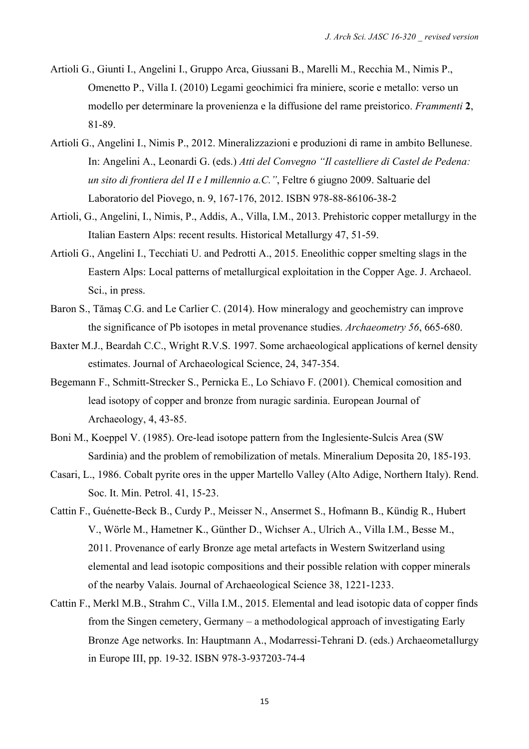- Artioli G., Giunti I., Angelini I., Gruppo Arca, Giussani B., Marelli M., Recchia M., Nimis P., Omenetto P., Villa I. (2010) Legami geochimici fra miniere, scorie e metallo: verso un modello per determinare la provenienza e la diffusione del rame preistorico. *Frammenti* **2**, 81-89.
- Artioli G., Angelini I., Nimis P., 2012. Mineralizzazioni e produzioni di rame in ambito Bellunese. In: Angelini A., Leonardi G. (eds.) *Atti del Convegno "Il castelliere di Castel de Pedena: un sito di frontiera del II e I millennio a.C."*, Feltre 6 giugno 2009. Saltuarie del Laboratorio del Piovego, n. 9, 167-176, 2012. ISBN 978-88-86106-38-2
- Artioli, G., Angelini, I., Nimis, P., Addis, A., Villa, I.M., 2013. Prehistoric copper metallurgy in the Italian Eastern Alps: recent results. Historical Metallurgy 47, 51-59.
- Artioli G., Angelini I., Tecchiati U. and Pedrotti A., 2015. Eneolithic copper smelting slags in the Eastern Alps: Local patterns of metallurgical exploitation in the Copper Age. J. Archaeol. Sci., in press.
- Baron S., Tămaş C.G. and Le Carlier C. (2014). How mineralogy and geochemistry can improve the significance of Pb isotopes in metal provenance studies. *Archaeometry 56*, 665-680.
- Baxter M.J., Beardah C.C., Wright R.V.S. 1997. Some archaeological applications of kernel density estimates. Journal of Archaeological Science, 24, 347-354.
- Begemann F., Schmitt-Strecker S., Pernicka E., Lo Schiavo F. (2001). Chemical comosition and lead isotopy of copper and bronze from nuragic sardinia. European Journal of Archaeology, 4, 43-85.
- Boni M., Koeppel V. (1985). Ore-lead isotope pattern from the Inglesiente-Sulcis Area (SW Sardinia) and the problem of remobilization of metals. Mineralium Deposita 20, 185-193.
- Casari, L., 1986. Cobalt pyrite ores in the upper Martello Valley (Alto Adige, Northern Italy). Rend. Soc. It. Min. Petrol. 41, 15-23.
- Cattin F., Guénette-Beck B., Curdy P., Meisser N., Ansermet S., Hofmann B., Kündig R., Hubert V., Wörle M., Hametner K., Günther D., Wichser A., Ulrich A., Villa I.M., Besse M., 2011. Provenance of early Bronze age metal artefacts in Western Switzerland using elemental and lead isotopic compositions and their possible relation with copper minerals of the nearby Valais. Journal of Archaeological Science 38, 1221-1233.
- Cattin F., Merkl M.B., Strahm C., Villa I.M., 2015. Elemental and lead isotopic data of copper finds from the Singen cemetery, Germany – a methodological approach of investigating Early Bronze Age networks. In: Hauptmann A., Modarressi-Tehrani D. (eds.) Archaeometallurgy in Europe III, pp. 19-32. ISBN 978-3-937203-74-4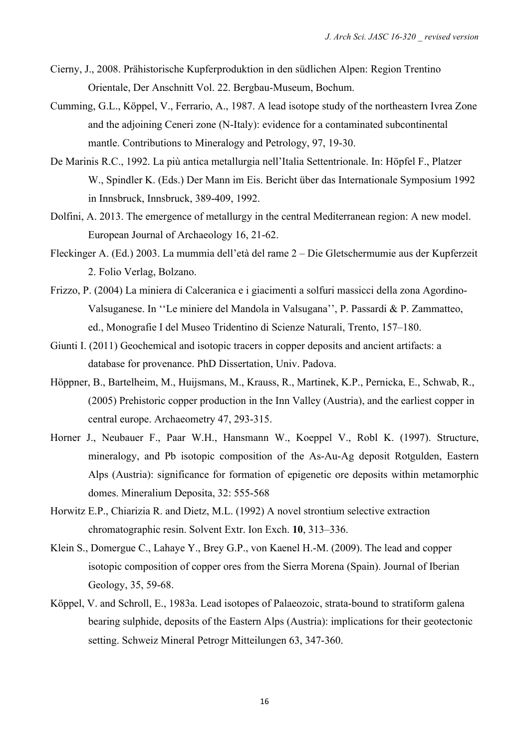- Cierny, J., 2008. Prähistorische Kupferproduktion in den südlichen Alpen: Region Trentino Orientale, Der Anschnitt Vol. 22. Bergbau-Museum, Bochum.
- Cumming, G.L., Köppel, V., Ferrario, A., 1987. A lead isotope study of the northeastern Ivrea Zone and the adjoining Ceneri zone (N-Italy): evidence for a contaminated subcontinental mantle. Contributions to Mineralogy and Petrology, 97, 19-30.
- De Marinis R.C., 1992. La più antica metallurgia nell'Italia Settentrionale. In: Höpfel F., Platzer W., Spindler K. (Eds.) Der Mann im Eis. Bericht über das Internationale Symposium 1992 in Innsbruck, Innsbruck, 389-409, 1992.
- Dolfini, A. 2013. The emergence of metallurgy in the central Mediterranean region: A new model. European Journal of Archaeology 16, 21-62.
- Fleckinger A. (Ed.) 2003. La mummia dell'età del rame 2 Die Gletschermumie aus der Kupferzeit 2. Folio Verlag, Bolzano.
- Frizzo, P. (2004) La miniera di Calceranica e i giacimenti a solfuri massicci della zona Agordino-Valsuganese. In ''Le miniere del Mandola in Valsugana'', P. Passardi & P. Zammatteo, ed., Monografie I del Museo Tridentino di Scienze Naturali, Trento, 157–180.
- Giunti I. (2011) Geochemical and isotopic tracers in copper deposits and ancient artifacts: a database for provenance. PhD Dissertation, Univ. Padova.
- Höppner, B., Bartelheim, M., Huijsmans, M., Krauss, R., Martinek, K.P., Pernicka, E., Schwab, R., (2005) Prehistoric copper production in the Inn Valley (Austria), and the earliest copper in central europe. Archaeometry 47, 293-315.
- Horner J., Neubauer F., Paar W.H., Hansmann W., Koeppel V., Robl K. (1997). Structure, mineralogy, and Pb isotopic composition of the As-Au-Ag deposit Rotgulden, Eastern Alps (Austria): significance for formation of epigenetic ore deposits within metamorphic domes. Mineralium Deposita, 32: 555-568
- Horwitz E.P., Chiarizia R. and Dietz, M.L. (1992) A novel strontium selective extraction chromatographic resin. Solvent Extr. Ion Exch. **10**, 313–336.
- Klein S., Domergue C., Lahaye Y., Brey G.P., von Kaenel H.-M. (2009). The lead and copper isotopic composition of copper ores from the Sierra Morena (Spain). Journal of Iberian Geology, 35, 59-68.
- Köppel, V. and Schroll, E., 1983a. Lead isotopes of Palaeozoic, strata-bound to stratiform galena bearing sulphide, deposits of the Eastern Alps (Austria): implications for their geotectonic setting. Schweiz Mineral Petrogr Mitteilungen 63, 347-360.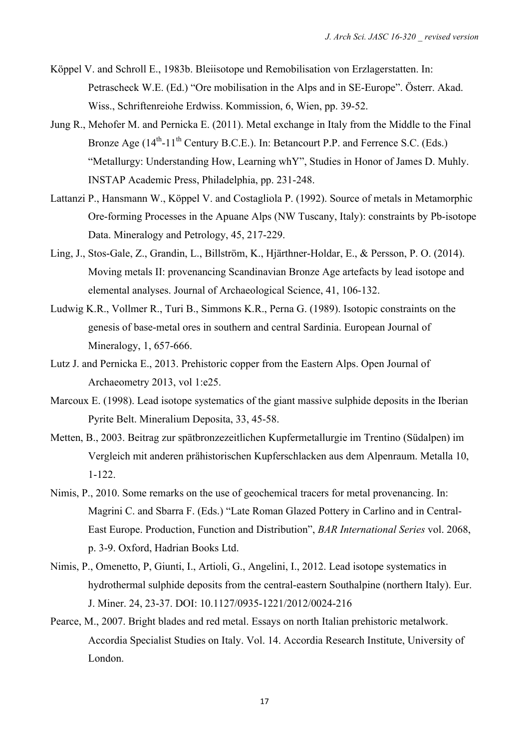- Köppel V. and Schroll E., 1983b. Bleiisotope und Remobilisation von Erzlagerstatten. In: Petrascheck W.E. (Ed.) "Ore mobilisation in the Alps and in SE-Europe". Österr. Akad. Wiss., Schriftenreiohe Erdwiss. Kommission, 6, Wien, pp. 39-52.
- Jung R., Mehofer M. and Pernicka E. (2011). Metal exchange in Italy from the Middle to the Final Bronze Age  $(14<sup>th</sup>-11<sup>th</sup>$  Century B.C.E.). In: Betancourt P.P. and Ferrence S.C. (Eds.) "Metallurgy: Understanding How, Learning whY", Studies in Honor of James D. Muhly. INSTAP Academic Press, Philadelphia, pp. 231-248.
- Lattanzi P., Hansmann W., Köppel V. and Costagliola P. (1992). Source of metals in Metamorphic Ore-forming Processes in the Apuane Alps (NW Tuscany, Italy): constraints by Pb-isotope Data. Mineralogy and Petrology, 45, 217-229.
- Ling, J., Stos-Gale, Z., Grandin, L., Billström, K., Hjärthner-Holdar, E., & Persson, P. O. (2014). Moving metals II: provenancing Scandinavian Bronze Age artefacts by lead isotope and elemental analyses. Journal of Archaeological Science, 41, 106-132.
- Ludwig K.R., Vollmer R., Turi B., Simmons K.R., Perna G. (1989). Isotopic constraints on the genesis of base-metal ores in southern and central Sardinia. European Journal of Mineralogy, 1, 657-666.
- Lutz J. and Pernicka E., 2013. Prehistoric copper from the Eastern Alps. Open Journal of Archaeometry 2013, vol 1:e25.
- Marcoux E. (1998). Lead isotope systematics of the giant massive sulphide deposits in the Iberian Pyrite Belt. Mineralium Deposita, 33, 45-58.
- Metten, B., 2003. Beitrag zur spätbronzezeitlichen Kupfermetallurgie im Trentino (Südalpen) im Vergleich mit anderen prähistorischen Kupferschlacken aus dem Alpenraum. Metalla 10, 1-122.
- Nimis, P., 2010. Some remarks on the use of geochemical tracers for metal provenancing. In: Magrini C. and Sbarra F. (Eds.) "Late Roman Glazed Pottery in Carlino and in Central-East Europe. Production, Function and Distribution", *BAR International Series* vol. 2068, p. 3-9. Oxford, Hadrian Books Ltd.
- Nimis, P., Omenetto, P, Giunti, I., Artioli, G., Angelini, I., 2012. Lead isotope systematics in hydrothermal sulphide deposits from the central-eastern Southalpine (northern Italy). Eur. J. Miner. 24, 23-37. DOI: 10.1127/0935-1221/2012/0024-216
- Pearce, M., 2007. Bright blades and red metal. Essays on north Italian prehistoric metalwork. Accordia Specialist Studies on Italy. Vol. 14. Accordia Research Institute, University of London.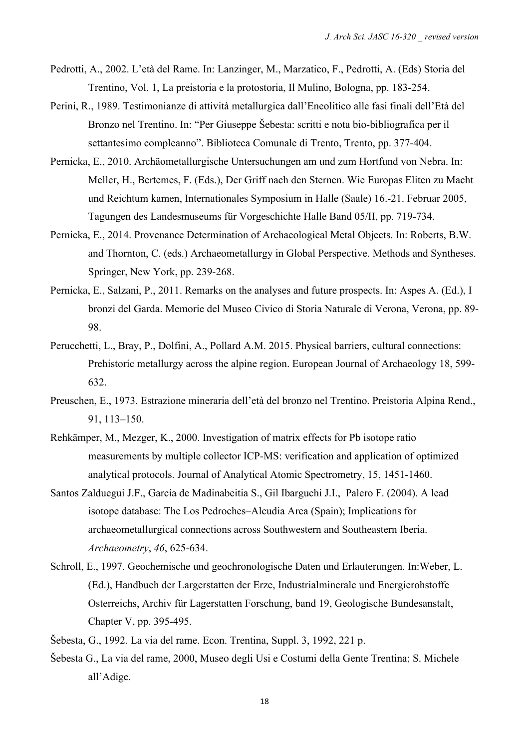- Pedrotti, A., 2002. L'età del Rame. In: Lanzinger, M., Marzatico, F., Pedrotti, A. (Eds) Storia del Trentino, Vol. 1, La preistoria e la protostoria, Il Mulino, Bologna, pp. 183-254.
- Perini, R., 1989. Testimonianze di attività metallurgica dall'Eneolitico alle fasi finali dell'Età del Bronzo nel Trentino. In: "Per Giuseppe Šebesta: scritti e nota bio-bibliografica per il settantesimo compleanno". Biblioteca Comunale di Trento, Trento, pp. 377-404.
- Pernicka, E., 2010. Archäometallurgische Untersuchungen am und zum Hortfund von Nebra. In: Meller, H., Bertemes, F. (Eds.), Der Griff nach den Sternen. Wie Europas Eliten zu Macht und Reichtum kamen, Internationales Symposium in Halle (Saale) 16.-21. Februar 2005, Tagungen des Landesmuseums für Vorgeschichte Halle Band 05/II, pp. 719-734.
- Pernicka, E., 2014. Provenance Determination of Archaeological Metal Objects. In: Roberts, B.W. and Thornton, C. (eds.) Archaeometallurgy in Global Perspective. Methods and Syntheses. Springer, New York, pp. 239-268.
- Pernicka, E., Salzani, P., 2011. Remarks on the analyses and future prospects. In: Aspes A. (Ed.), I bronzi del Garda. Memorie del Museo Civico di Storia Naturale di Verona, Verona, pp. 89- 98.
- Perucchetti, L., Bray, P., Dolfini, A., Pollard A.M. 2015. Physical barriers, cultural connections: Prehistoric metallurgy across the alpine region. European Journal of Archaeology 18, 599- 632.
- Preuschen, E., 1973. Estrazione mineraria dell'età del bronzo nel Trentino. Preistoria Alpina Rend., 91, 113–150.
- Rehkämper, M., Mezger, K., 2000. Investigation of matrix effects for Pb isotope ratio measurements by multiple collector ICP-MS: verification and application of optimized analytical protocols. Journal of Analytical Atomic Spectrometry, 15, 1451-1460.
- Santos Zalduegui J.F., García de Madinabeitia S., Gil Ibarguchi J.I., Palero F. (2004). A lead isotope database: The Los Pedroches–Alcudia Area (Spain); Implications for archaeometallurgical connections across Southwestern and Southeastern Iberia. *Archaeometry*, *46*, 625-634.
- Schroll, E., 1997. Geochemische und geochronologische Daten und Erlauterungen. In:Weber, L. (Ed.), Handbuch der Largerstatten der Erze, Industrialminerale und Energierohstoffe Osterreichs, Archiv für Lagerstatten Forschung, band 19, Geologische Bundesanstalt, Chapter V, pp. 395-495.
- Šebesta, G., 1992. La via del rame. Econ. Trentina, Suppl. 3, 1992, 221 p.
- Šebesta G., La via del rame, 2000, Museo degli Usi e Costumi della Gente Trentina; S. Michele all'Adige.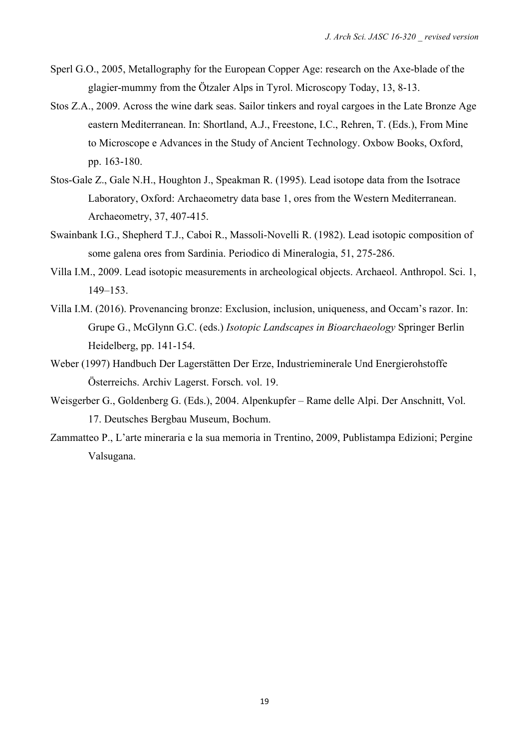- Sperl G.O., 2005, Metallography for the European Copper Age: research on the Axe-blade of the glagier-mummy from the Ötzaler Alps in Tyrol. Microscopy Today, 13, 8-13.
- Stos Z.A., 2009. Across the wine dark seas. Sailor tinkers and royal cargoes in the Late Bronze Age eastern Mediterranean. In: Shortland, A.J., Freestone, I.C., Rehren, T. (Eds.), From Mine to Microscope e Advances in the Study of Ancient Technology. Oxbow Books, Oxford, pp. 163-180.
- Stos-Gale Z., Gale N.H., Houghton J., Speakman R. (1995). Lead isotope data from the Isotrace Laboratory, Oxford: Archaeometry data base 1, ores from the Western Mediterranean. Archaeometry, 37, 407-415.
- Swainbank I.G., Shepherd T.J., Caboi R., Massoli-Novelli R. (1982). Lead isotopic composition of some galena ores from Sardinia. Periodico di Mineralogia, 51, 275-286.
- Villa I.M., 2009. Lead isotopic measurements in archeological objects. Archaeol. Anthropol. Sci. 1, 149–153.
- Villa I.M. (2016). Provenancing bronze: Exclusion, inclusion, uniqueness, and Occam's razor. In: Grupe G., McGlynn G.C. (eds.) *Isotopic Landscapes in Bioarchaeology* Springer Berlin Heidelberg, pp. 141-154.
- Weber (1997) Handbuch Der Lagerstätten Der Erze, Industrieminerale Und Energierohstoffe Österreichs. Archiv Lagerst. Forsch. vol. 19.
- Weisgerber G., Goldenberg G. (Eds.), 2004. Alpenkupfer Rame delle Alpi. Der Anschnitt, Vol. 17. Deutsches Bergbau Museum, Bochum.
- Zammatteo P., L'arte mineraria e la sua memoria in Trentino, 2009, Publistampa Edizioni; Pergine Valsugana.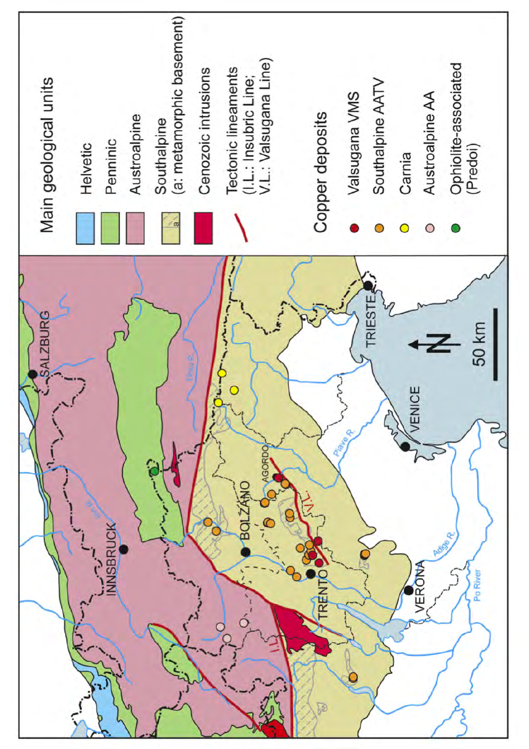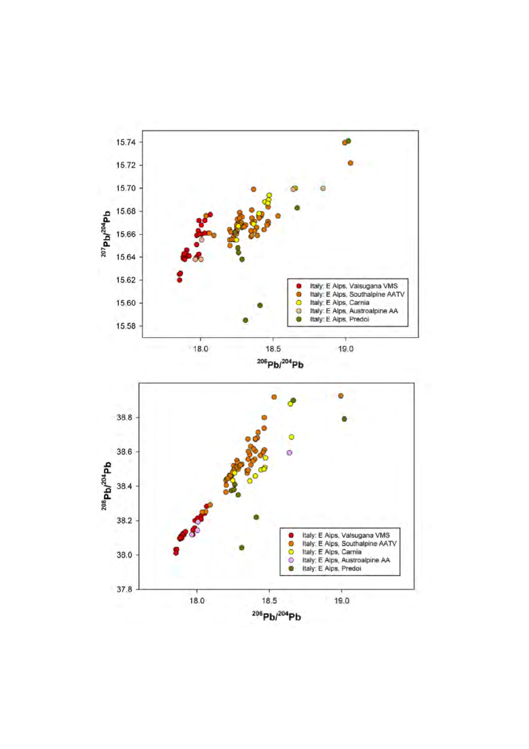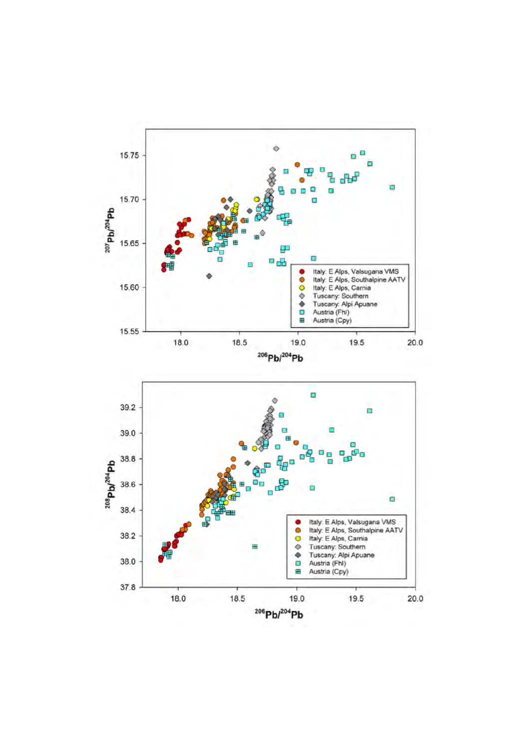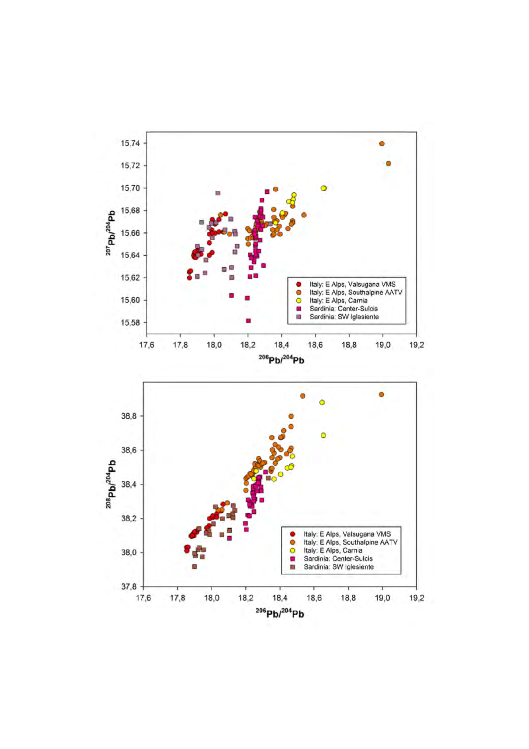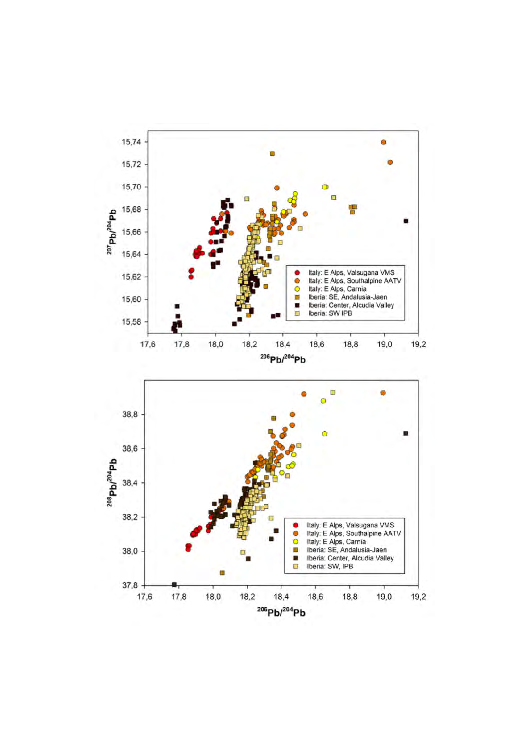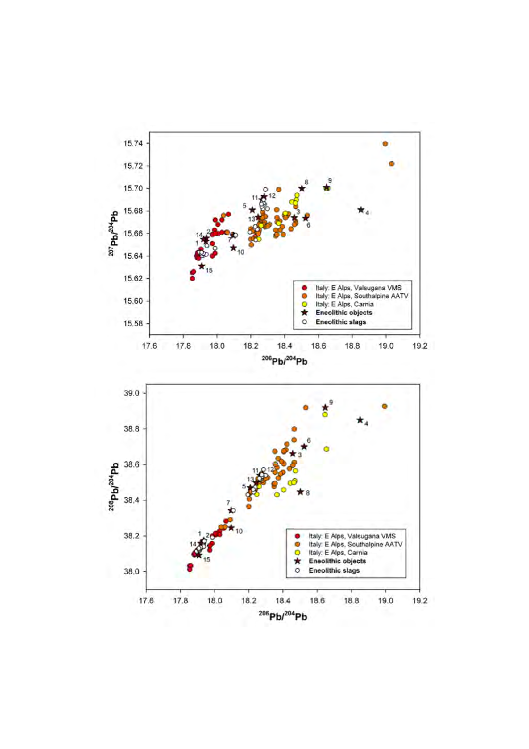